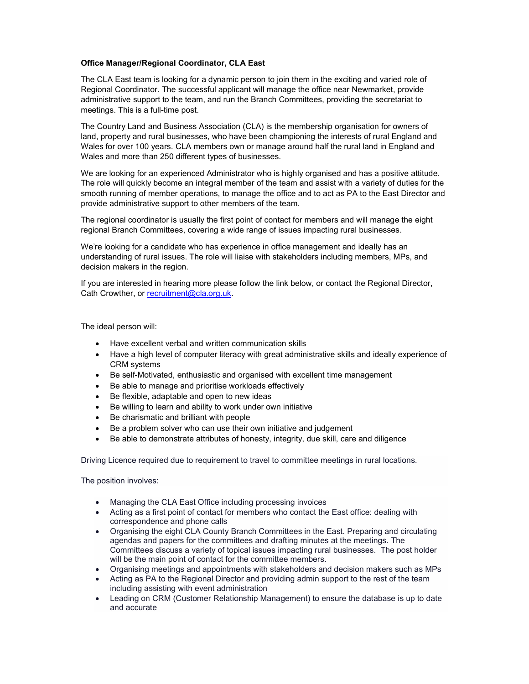## Office Manager/Regional Coordinator, CLA East

The CLA East team is looking for a dynamic person to join them in the exciting and varied role of Regional Coordinator. The successful applicant will manage the office near Newmarket, provide administrative support to the team, and run the Branch Committees, providing the secretariat to meetings. This is a full-time post.

The Country Land and Business Association (CLA) is the membership organisation for owners of land, property and rural businesses, who have been championing the interests of rural England and Wales for over 100 years. CLA members own or manage around half the rural land in England and Wales and more than 250 different types of businesses.

We are looking for an experienced Administrator who is highly organised and has a positive attitude. The role will quickly become an integral member of the team and assist with a variety of duties for the smooth running of member operations, to manage the office and to act as PA to the East Director and provide administrative support to other members of the team.

The regional coordinator is usually the first point of contact for members and will manage the eight regional Branch Committees, covering a wide range of issues impacting rural businesses.

We're looking for a candidate who has experience in office management and ideally has an understanding of rural issues. The role will liaise with stakeholders including members, MPs, and decision makers in the region.

If you are interested in hearing more please follow the link below, or contact the Regional Director, Cath Crowther, or recruitment@cla.org.uk.

The ideal person will:

- Have excellent verbal and written communication skills
- Have a high level of computer literacy with great administrative skills and ideally experience of CRM systems
- Be self-Motivated, enthusiastic and organised with excellent time management
- Be able to manage and prioritise workloads effectively
- Be flexible, adaptable and open to new ideas
- Be willing to learn and ability to work under own initiative
- Be charismatic and brilliant with people
- Be a problem solver who can use their own initiative and judgement
- Be able to demonstrate attributes of honesty, integrity, due skill, care and diligence

Driving Licence required due to requirement to travel to committee meetings in rural locations.

The position involves:

- Managing the CLA East Office including processing invoices
- Acting as a first point of contact for members who contact the East office: dealing with correspondence and phone calls
- Organising the eight CLA County Branch Committees in the East. Preparing and circulating agendas and papers for the committees and drafting minutes at the meetings. The Committees discuss a variety of topical issues impacting rural businesses. The post holder will be the main point of contact for the committee members.
- Organising meetings and appointments with stakeholders and decision makers such as MPs
- Acting as PA to the Regional Director and providing admin support to the rest of the team including assisting with event administration
- Leading on CRM (Customer Relationship Management) to ensure the database is up to date and accurate